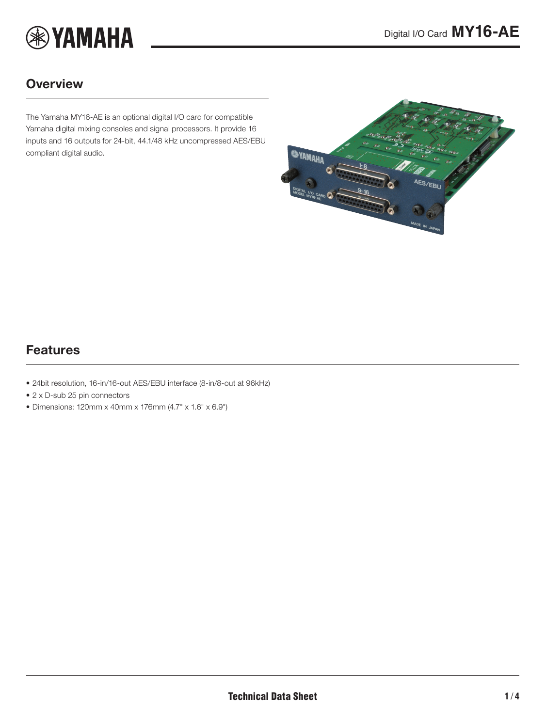

### **Overview**

The Yamaha MY16-AE is an optional digital I/O card for compatible Yamaha digital mixing consoles and signal processors. It provide 16 inputs and 16 outputs for 24-bit, 44.1/48 kHz uncompressed AES/EBU compliant digital audio.

<span id="page-0-0"></span>

### Features

- 24bit resolution, 16-in/16-out AES/EBU interface (8-in/8-out at 96kHz)
- 2 x D-sub 25 pin connectors
- Dimensions: 120mm x 40mm x 176mm (4.7" x 1.6" x 6.9")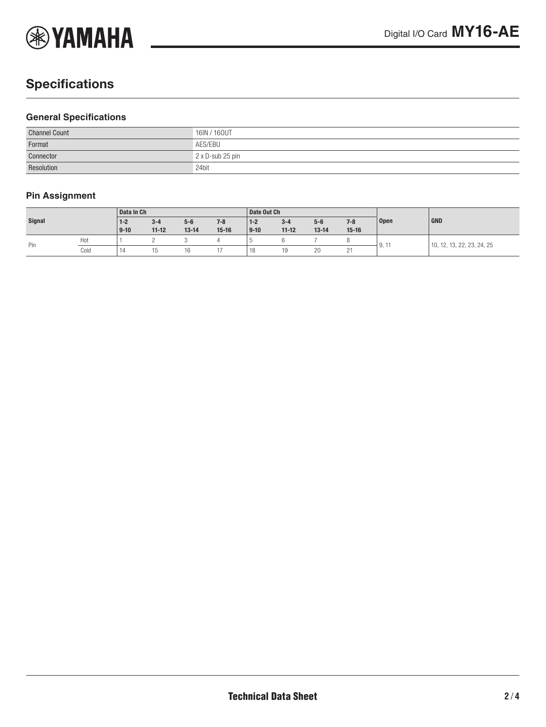

# **Specifications**

#### **General Specifications**

| <b>Channel Count</b> | 16IN / 160UT     |
|----------------------|------------------|
| Format               | AES/EBU          |
| Connector            | 2 x D-sub 25 pin |
| Resolution           | 24bit            |

### **Pin Assignment**

| <b>Signal</b> |      | Data In Ch |           |           | Date Out Ch |          |           |           |           |                   |                                    |
|---------------|------|------------|-----------|-----------|-------------|----------|-----------|-----------|-----------|-------------------|------------------------------------|
|               |      | $1 - 2$    | $3 - 4$   | $5-6$     | $7 - 8$     | $1 - 2$  | $3 - 4$   | $5-6$     | $7 - 8$   | <b>Open</b>       | <b>GND</b>                         |
|               |      | $9-10$     | $11 - 12$ | $13 - 14$ | $15-16$     | $9 - 10$ | $11 - 12$ | $13 - 14$ | $15 - 16$ |                   |                                    |
| Pin           | Hot  |            |           |           |             |          |           |           |           | $\Omega$<br>، این | , 13, 22, 23, 24, 25<br>12,<br>10. |
|               | Cold | 14         | ∪ו        | 16        |             | 18       | 10        | 20        | $\sim$    |                   |                                    |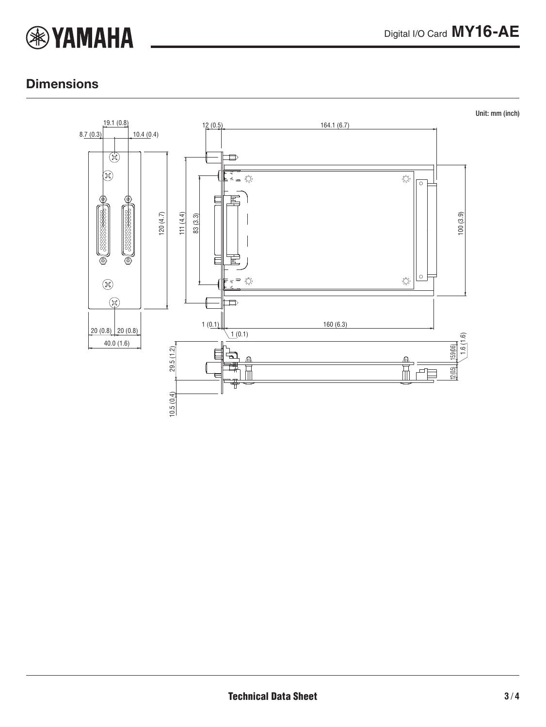

### **Dimensions**